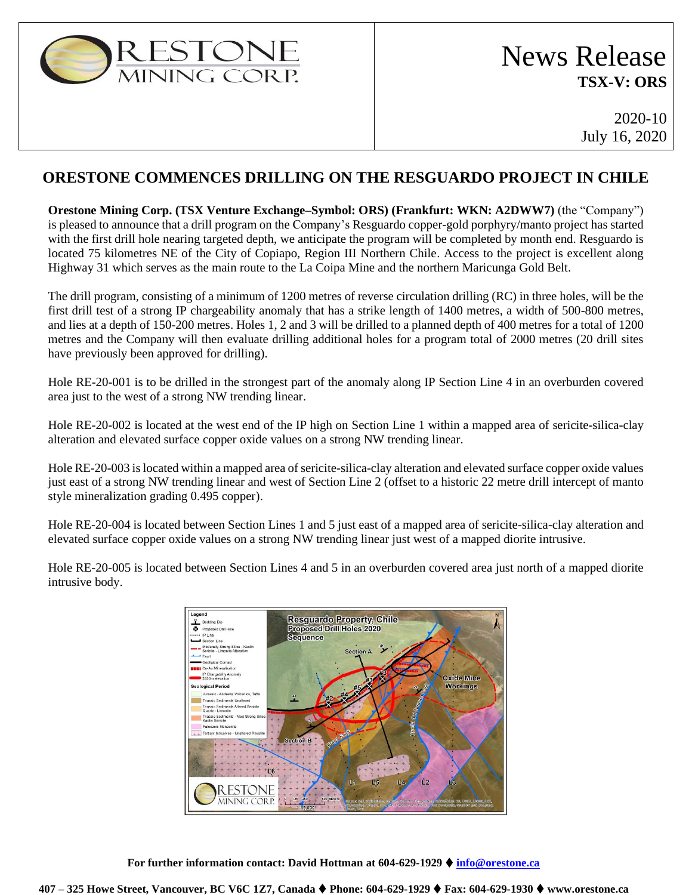

# News Release **TSX-V: ORS**

2020-10 July 16, 2020

## **ORESTONE COMMENCES DRILLING ON THE RESGUARDO PROJECT IN CHILE**

**Orestone Mining Corp. (TSX Venture Exchange–Symbol: ORS) (Frankfurt: WKN: A2DWW7)** (the "Company") is pleased to announce that a drill program on the Company's Resguardo copper-gold porphyry/manto project has started with the first drill hole nearing targeted depth, we anticipate the program will be completed by month end. Resguardo is located 75 kilometres NE of the City of Copiapo, Region III Northern Chile. Access to the project is excellent along Highway 31 which serves as the main route to the La Coipa Mine and the northern Maricunga Gold Belt.

The drill program, consisting of a minimum of 1200 metres of reverse circulation drilling (RC) in three holes, will be the first drill test of a strong IP chargeability anomaly that has a strike length of 1400 metres, a width of 500-800 metres, and lies at a depth of 150-200 metres. Holes 1, 2 and 3 will be drilled to a planned depth of 400 metres for a total of 1200 metres and the Company will then evaluate drilling additional holes for a program total of 2000 metres (20 drill sites have previously been approved for drilling).

Hole RE-20-001 is to be drilled in the strongest part of the anomaly along IP Section Line 4 in an overburden covered area just to the west of a strong NW trending linear.

Hole RE-20-002 is located at the west end of the IP high on Section Line 1 within a mapped area of sericite-silica-clay alteration and elevated surface copper oxide values on a strong NW trending linear.

Hole RE-20-003 is located within a mapped area of sericite-silica-clay alteration and elevated surface copper oxide values just east of a strong NW trending linear and west of Section Line 2 (offset to a historic 22 metre drill intercept of manto style mineralization grading 0.495 copper).

Hole RE-20-004 is located between Section Lines 1 and 5 just east of a mapped area of sericite-silica-clay alteration and elevated surface copper oxide values on a strong NW trending linear just west of a mapped diorite intrusive.

Hole RE-20-005 is located between Section Lines 4 and 5 in an overburden covered area just north of a mapped diorite intrusive body.



**For further information contact: David Hottman at 604-629-1929** ⧫ **[info@orestone.ca](mailto:info@orestone.ca)**